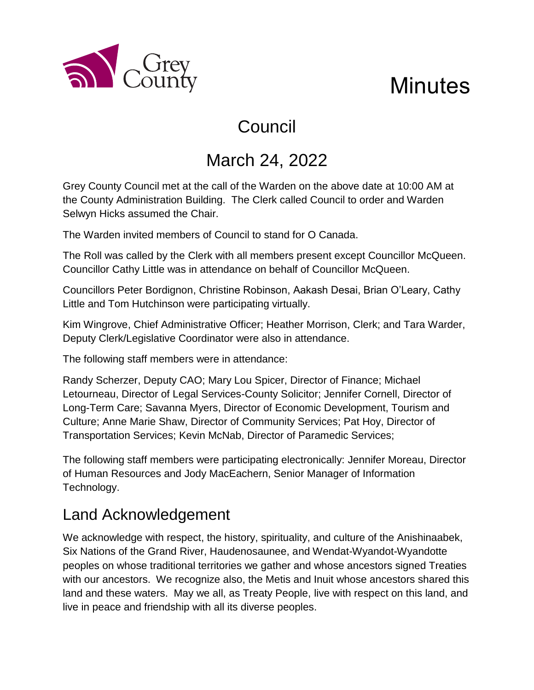

# Council

# March 24, 2022

Grey County Council met at the call of the Warden on the above date at 10:00 AM at the County Administration Building. The Clerk called Council to order and Warden Selwyn Hicks assumed the Chair.

The Warden invited members of Council to stand for O Canada.

The Roll was called by the Clerk with all members present except Councillor McQueen. Councillor Cathy Little was in attendance on behalf of Councillor McQueen.

Councillors Peter Bordignon, Christine Robinson, Aakash Desai, Brian O'Leary, Cathy Little and Tom Hutchinson were participating virtually.

Kim Wingrove, Chief Administrative Officer; Heather Morrison, Clerk; and Tara Warder, Deputy Clerk/Legislative Coordinator were also in attendance.

The following staff members were in attendance:

a County

Randy Scherzer, Deputy CAO; Mary Lou Spicer, Director of Finance; Michael Letourneau, Director of Legal Services-County Solicitor; Jennifer Cornell, Director of Long-Term Care; Savanna Myers, Director of Economic Development, Tourism and Culture; Anne Marie Shaw, Director of Community Services; Pat Hoy, Director of Transportation Services; Kevin McNab, Director of Paramedic Services;

The following staff members were participating electronically: Jennifer Moreau, Director of Human Resources and Jody MacEachern, Senior Manager of Information Technology.

# Land Acknowledgement

We acknowledge with respect, the history, spirituality, and culture of the Anishinaabek, Six Nations of the Grand River, Haudenosaunee, and Wendat-Wyandot-Wyandotte peoples on whose traditional territories we gather and whose ancestors signed Treaties with our ancestors. We recognize also, the Metis and Inuit whose ancestors shared this land and these waters. May we all, as Treaty People, live with respect on this land, and live in peace and friendship with all its diverse peoples.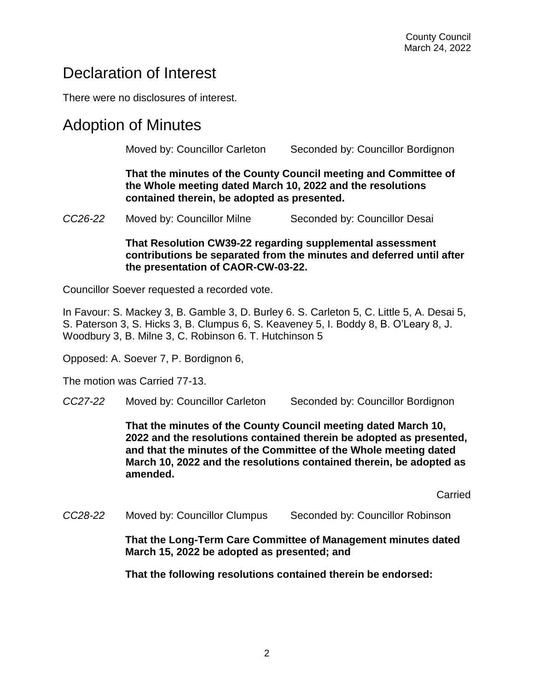### Declaration of Interest

There were no disclosures of interest.

### Adoption of Minutes

Moved by: Councillor Carleton Seconded by: Councillor Bordignon

**That the minutes of the County Council meeting and Committee of the Whole meeting dated March 10, 2022 and the resolutions contained therein, be adopted as presented.** 

*CC26-22* Moved by: Councillor Milne Seconded by: Councillor Desai

#### **That Resolution CW39-22 regarding supplemental assessment contributions be separated from the minutes and deferred until after the presentation of CAOR-CW-03-22.**

Councillor Soever requested a recorded vote.

In Favour: S. Mackey 3, B. Gamble 3, D. Burley 6. S. Carleton 5, C. Little 5, A. Desai 5, S. Paterson 3, S. Hicks 3, B. Clumpus 6, S. Keaveney 5, I. Boddy 8, B. O'Leary 8, J. Woodbury 3, B. Milne 3, C. Robinson 6. T. Hutchinson 5

Opposed: A. Soever 7, P. Bordignon 6,

The motion was Carried 77-13.

*CC27-22* Moved by: Councillor Carleton Seconded by: Councillor Bordignon

**That the minutes of the County Council meeting dated March 10, 2022 and the resolutions contained therein be adopted as presented, and that the minutes of the Committee of the Whole meeting dated March 10, 2022 and the resolutions contained therein, be adopted as amended.** 

Carried

*CC28-22* Moved by: Councillor Clumpus Seconded by: Councillor Robinson

**That the Long-Term Care Committee of Management minutes dated March 15, 2022 be adopted as presented; and**

**That the following resolutions contained therein be endorsed:**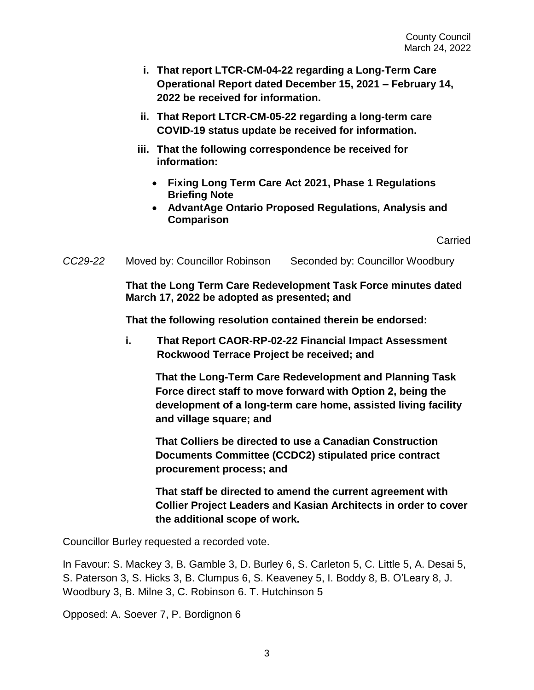- **i. That report LTCR-CM-04-22 regarding a Long-Term Care Operational Report dated December 15, 2021 – February 14, 2022 be received for information.**
- **ii. That Report LTCR-CM-05-22 regarding a long-term care COVID-19 status update be received for information.**
- **iii. That the following correspondence be received for information:**
	- **Fixing Long Term Care Act 2021, Phase 1 Regulations Briefing Note**
	- **AdvantAge Ontario Proposed Regulations, Analysis and Comparison**

Carried

*CC29-22* Moved by: Councillor Robinson Seconded by: Councillor Woodbury

**That the Long Term Care Redevelopment Task Force minutes dated March 17, 2022 be adopted as presented; and** 

**That the following resolution contained therein be endorsed:**

**i. That Report CAOR-RP-02-22 Financial Impact Assessment Rockwood Terrace Project be received; and**

**That the Long-Term Care Redevelopment and Planning Task Force direct staff to move forward with Option 2, being the development of a long-term care home, assisted living facility and village square; and**

**That Colliers be directed to use a Canadian Construction Documents Committee (CCDC2) stipulated price contract procurement process; and**

**That staff be directed to amend the current agreement with Collier Project Leaders and Kasian Architects in order to cover the additional scope of work.**

Councillor Burley requested a recorded vote.

In Favour: S. Mackey 3, B. Gamble 3, D. Burley 6, S. Carleton 5, C. Little 5, A. Desai 5, S. Paterson 3, S. Hicks 3, B. Clumpus 6, S. Keaveney 5, I. Boddy 8, B. O'Leary 8, J. Woodbury 3, B. Milne 3, C. Robinson 6. T. Hutchinson 5

Opposed: A. Soever 7, P. Bordignon 6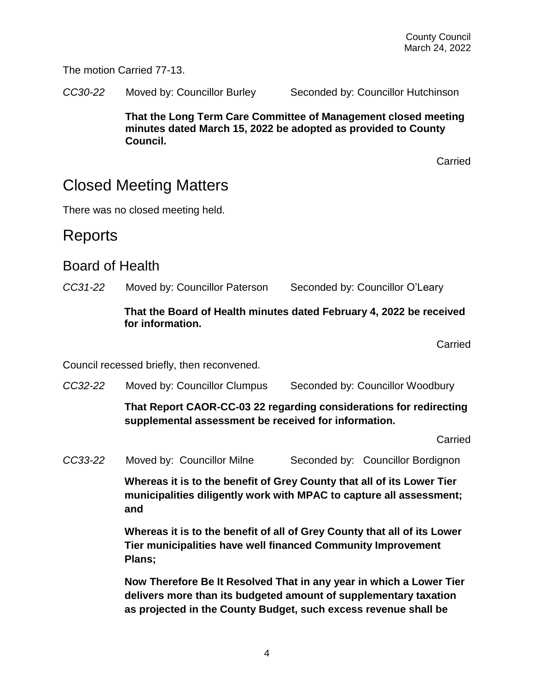The motion Carried 77-13.

*CC30-22* Moved by: Councillor Burley Seconded by: Councillor Hutchinson

**That the Long Term Care Committee of Management closed meeting minutes dated March 15, 2022 be adopted as provided to County Council.**

Carried

## Closed Meeting Matters

There was no closed meeting held.

### Reports

#### Board of Health

*CC31-22* Moved by: Councillor Paterson Seconded by: Councillor O'Leary

#### **That the Board of Health minutes dated February 4, 2022 be received for information.**

Carried

Council recessed briefly, then reconvened.

*CC32-22* Moved by: Councillor Clumpus Seconded by: Councillor Woodbury

**That Report CAOR-CC-03 22 regarding considerations for redirecting supplemental assessment be received for information.**

**Carried** 

*CC33-22* Moved by: Councillor Milne Seconded by: Councillor Bordignon

**Whereas it is to the benefit of Grey County that all of its Lower Tier municipalities diligently work with MPAC to capture all assessment; and**

**Whereas it is to the benefit of all of Grey County that all of its Lower Tier municipalities have well financed Community Improvement Plans;**

**Now Therefore Be It Resolved That in any year in which a Lower Tier delivers more than its budgeted amount of supplementary taxation as projected in the County Budget, such excess revenue shall be**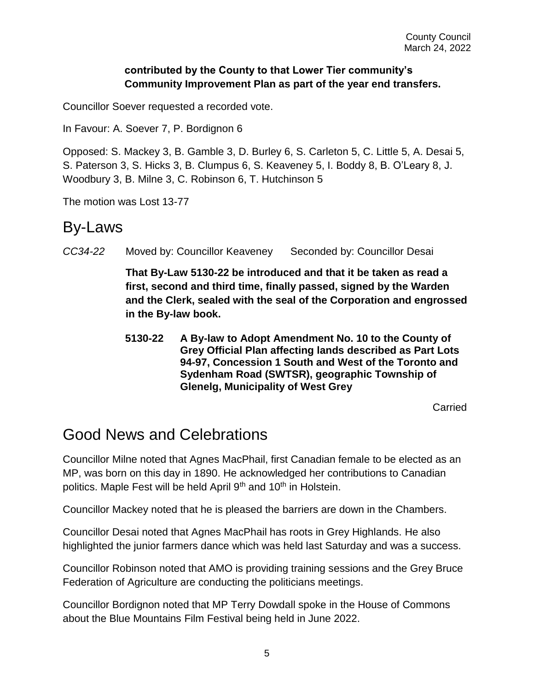#### **contributed by the County to that Lower Tier community's Community Improvement Plan as part of the year end transfers.**

Councillor Soever requested a recorded vote.

In Favour: A. Soever 7, P. Bordignon 6

Opposed: S. Mackey 3, B. Gamble 3, D. Burley 6, S. Carleton 5, C. Little 5, A. Desai 5, S. Paterson 3, S. Hicks 3, B. Clumpus 6, S. Keaveney 5, I. Boddy 8, B. O'Leary 8, J. Woodbury 3, B. Milne 3, C. Robinson 6, T. Hutchinson 5

The motion was Lost 13-77

### By-Laws

*CC34-22* Moved by: Councillor Keaveney Seconded by: Councillor Desai

**That By-Law 5130-22 be introduced and that it be taken as read a first, second and third time, finally passed, signed by the Warden and the Clerk, sealed with the seal of the Corporation and engrossed in the By-law book.**

**5130-22 A By-law to Adopt Amendment No. 10 to the County of Grey Official Plan affecting lands described as Part Lots 94-97, Concession 1 South and West of the Toronto and Sydenham Road (SWTSR), geographic Township of Glenelg, Municipality of West Grey** 

Carried

## Good News and Celebrations

Councillor Milne noted that Agnes MacPhail, first Canadian female to be elected as an MP, was born on this day in 1890. He acknowledged her contributions to Canadian politics. Maple Fest will be held April 9<sup>th</sup> and 10<sup>th</sup> in Holstein.

Councillor Mackey noted that he is pleased the barriers are down in the Chambers.

Councillor Desai noted that Agnes MacPhail has roots in Grey Highlands. He also highlighted the junior farmers dance which was held last Saturday and was a success.

Councillor Robinson noted that AMO is providing training sessions and the Grey Bruce Federation of Agriculture are conducting the politicians meetings.

Councillor Bordignon noted that MP Terry Dowdall spoke in the House of Commons about the Blue Mountains Film Festival being held in June 2022.